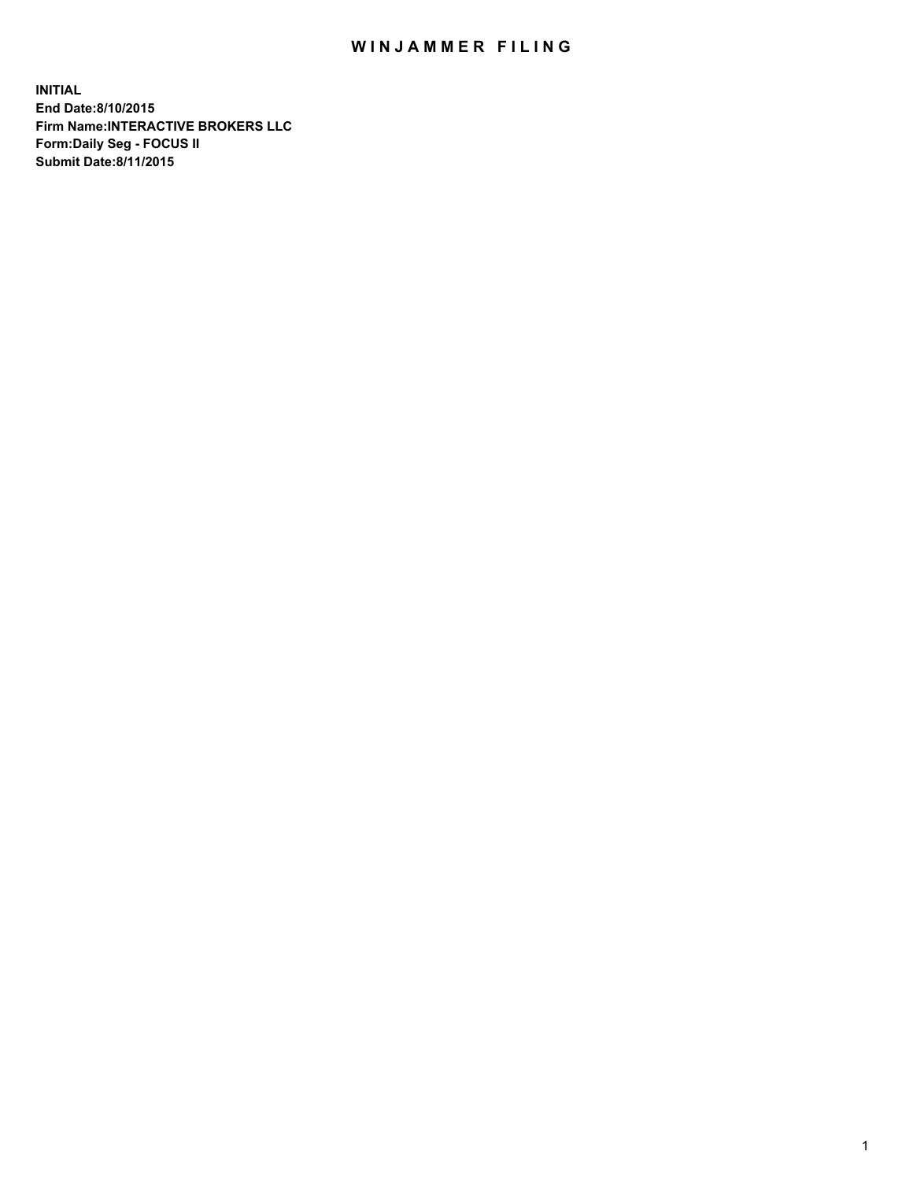## WIN JAMMER FILING

**INITIAL End Date:8/10/2015 Firm Name:INTERACTIVE BROKERS LLC Form:Daily Seg - FOCUS II Submit Date:8/11/2015**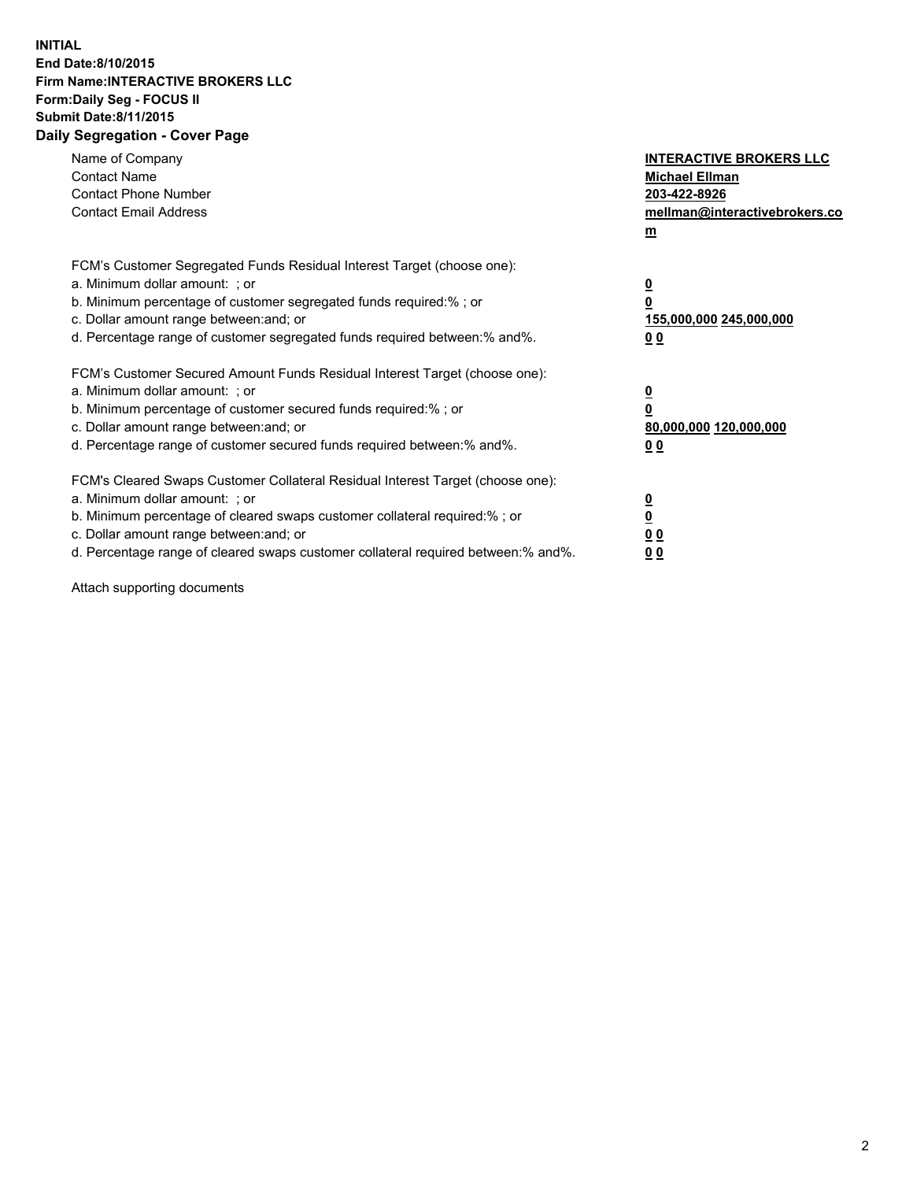## **INITIAL End Date:8/10/2015 Firm Name:INTERACTIVE BROKERS LLC Form:Daily Seg - FOCUS II Submit Date:8/11/2015 Daily Segregation - Cover Page**

| Name of Company<br><b>Contact Name</b><br><b>Contact Phone Number</b><br><b>Contact Email Address</b>                                                                                                                                                                                                                          | <b>INTERACTIVE BROKERS LLC</b><br><b>Michael Ellman</b><br>203-422-8926<br>mellman@interactivebrokers.co<br>$\mathbf{m}$ |
|--------------------------------------------------------------------------------------------------------------------------------------------------------------------------------------------------------------------------------------------------------------------------------------------------------------------------------|--------------------------------------------------------------------------------------------------------------------------|
| FCM's Customer Segregated Funds Residual Interest Target (choose one):<br>a. Minimum dollar amount: ; or<br>b. Minimum percentage of customer segregated funds required:% ; or<br>c. Dollar amount range between: and; or<br>d. Percentage range of customer segregated funds required between:% and%.                         | $\overline{\mathbf{0}}$<br>0<br>155,000,000 245,000,000<br><u>00</u>                                                     |
| FCM's Customer Secured Amount Funds Residual Interest Target (choose one):<br>a. Minimum dollar amount: ; or<br>b. Minimum percentage of customer secured funds required:%; or<br>c. Dollar amount range between: and; or<br>d. Percentage range of customer secured funds required between:% and%.                            | $\overline{\mathbf{0}}$<br>$\mathbf 0$<br>80,000,000 120,000,000<br>0 <sub>0</sub>                                       |
| FCM's Cleared Swaps Customer Collateral Residual Interest Target (choose one):<br>a. Minimum dollar amount: ; or<br>b. Minimum percentage of cleared swaps customer collateral required:% ; or<br>c. Dollar amount range between: and; or<br>d. Percentage range of cleared swaps customer collateral required between:% and%. | $\overline{\mathbf{0}}$<br>$\overline{\mathbf{0}}$<br>0 <sub>0</sub><br>0 <sub>0</sub>                                   |

Attach supporting documents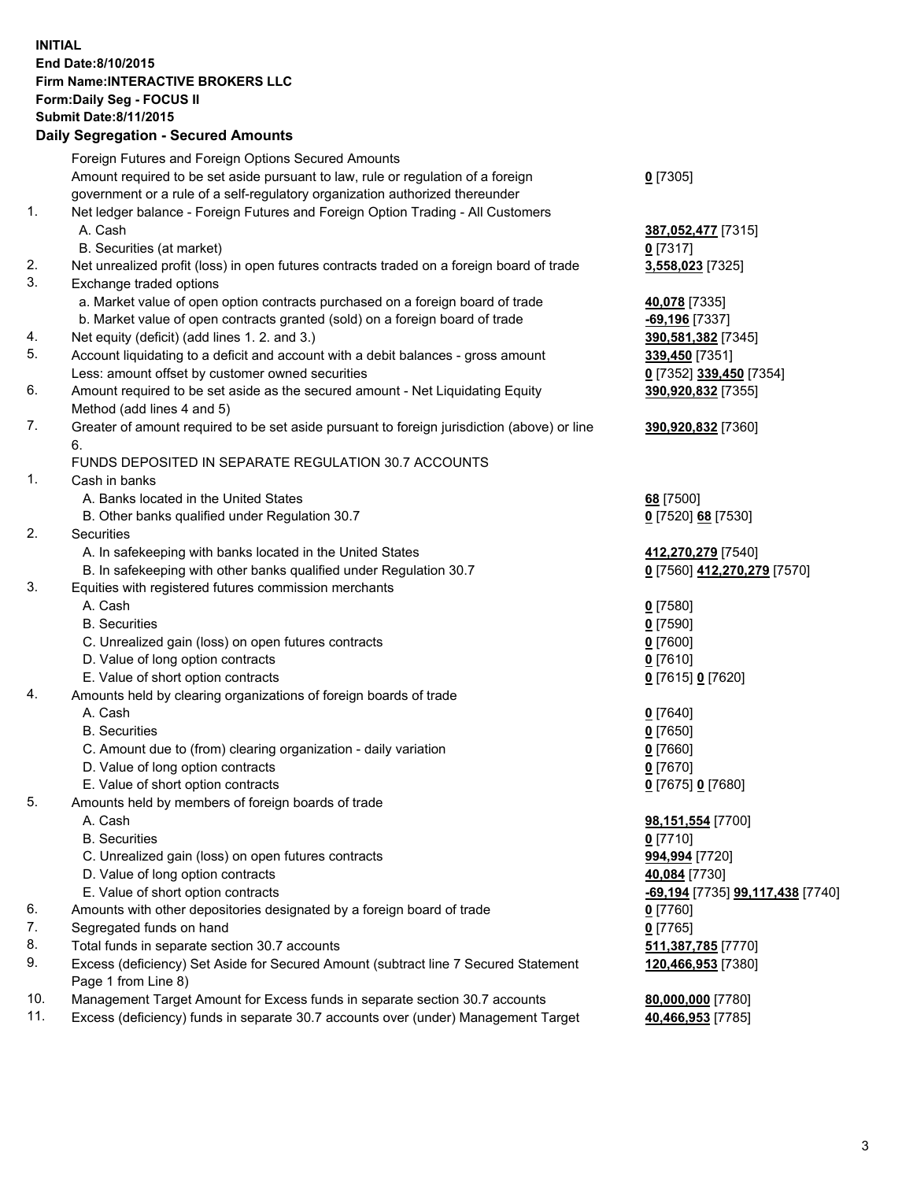## **INITIAL End Date:8/10/2015 Firm Name:INTERACTIVE BROKERS LLC Form:Daily Seg - FOCUS II Submit Date:8/11/2015 Daily Segregation - Secured Amounts**

|     | Daily Jegregation - Jeculed Aniounts                                                        |                                  |
|-----|---------------------------------------------------------------------------------------------|----------------------------------|
|     | Foreign Futures and Foreign Options Secured Amounts                                         |                                  |
|     | Amount required to be set aside pursuant to law, rule or regulation of a foreign            | $0$ [7305]                       |
|     | government or a rule of a self-regulatory organization authorized thereunder                |                                  |
| 1.  | Net ledger balance - Foreign Futures and Foreign Option Trading - All Customers             |                                  |
|     | A. Cash                                                                                     | 387,052,477 [7315]               |
|     | B. Securities (at market)                                                                   | $0$ [7317]                       |
| 2.  | Net unrealized profit (loss) in open futures contracts traded on a foreign board of trade   | 3,558,023 [7325]                 |
| 3.  | Exchange traded options                                                                     |                                  |
|     | a. Market value of open option contracts purchased on a foreign board of trade              | 40,078 [7335]                    |
|     | b. Market value of open contracts granted (sold) on a foreign board of trade                | $-69,196$ [7337]                 |
| 4.  | Net equity (deficit) (add lines 1. 2. and 3.)                                               | 390,581,382 [7345]               |
| 5.  | Account liquidating to a deficit and account with a debit balances - gross amount           | 339,450 [7351]                   |
|     | Less: amount offset by customer owned securities                                            | 0 [7352] 339,450 [7354]          |
| 6.  | Amount required to be set aside as the secured amount - Net Liquidating Equity              | 390,920,832 [7355]               |
|     | Method (add lines 4 and 5)                                                                  |                                  |
| 7.  | Greater of amount required to be set aside pursuant to foreign jurisdiction (above) or line | 390,920,832 [7360]               |
|     | 6.                                                                                          |                                  |
|     | FUNDS DEPOSITED IN SEPARATE REGULATION 30.7 ACCOUNTS                                        |                                  |
| 1.  | Cash in banks                                                                               |                                  |
|     | A. Banks located in the United States                                                       | 68 [7500]                        |
|     | B. Other banks qualified under Regulation 30.7                                              | 0 [7520] 68 [7530]               |
| 2.  | Securities                                                                                  |                                  |
|     | A. In safekeeping with banks located in the United States                                   | 412,270,279 [7540]               |
|     | B. In safekeeping with other banks qualified under Regulation 30.7                          | 0 [7560] 412,270,279 [7570]      |
| 3.  | Equities with registered futures commission merchants                                       |                                  |
|     | A. Cash                                                                                     | $0$ [7580]                       |
|     | <b>B.</b> Securities                                                                        | $0$ [7590]                       |
|     | C. Unrealized gain (loss) on open futures contracts                                         | $0$ [7600]                       |
|     | D. Value of long option contracts                                                           | $0$ [7610]                       |
|     | E. Value of short option contracts                                                          |                                  |
| 4.  | Amounts held by clearing organizations of foreign boards of trade                           | 0 [7615] 0 [7620]                |
|     | A. Cash                                                                                     |                                  |
|     |                                                                                             | $0$ [7640]                       |
|     | <b>B.</b> Securities                                                                        | $0$ [7650]                       |
|     | C. Amount due to (from) clearing organization - daily variation                             | $0$ [7660]                       |
|     | D. Value of long option contracts                                                           | $0$ [7670]                       |
|     | E. Value of short option contracts                                                          | 0 [7675] 0 [7680]                |
| 5.  | Amounts held by members of foreign boards of trade                                          |                                  |
|     | A. Cash                                                                                     | 98,151,554 [7700]                |
|     | <b>B.</b> Securities                                                                        | $0$ [7710]                       |
|     | C. Unrealized gain (loss) on open futures contracts                                         | 994,994 [7720]                   |
|     | D. Value of long option contracts                                                           | 40,084 [7730]                    |
|     | E. Value of short option contracts                                                          | -69,194 [7735] 99,117,438 [7740] |
| 6.  | Amounts with other depositories designated by a foreign board of trade                      | 0 [7760]                         |
| 7.  | Segregated funds on hand                                                                    | $0$ [7765]                       |
| 8.  | Total funds in separate section 30.7 accounts                                               | 511,387,785 [7770]               |
| 9.  | Excess (deficiency) Set Aside for Secured Amount (subtract line 7 Secured Statement         | 120,466,953 [7380]               |
|     | Page 1 from Line 8)                                                                         |                                  |
| 10. | Management Target Amount for Excess funds in separate section 30.7 accounts                 | 80,000,000 [7780]                |
| 11. | Excess (deficiency) funds in separate 30.7 accounts over (under) Management Target          | 40,466,953 [7785]                |
|     |                                                                                             |                                  |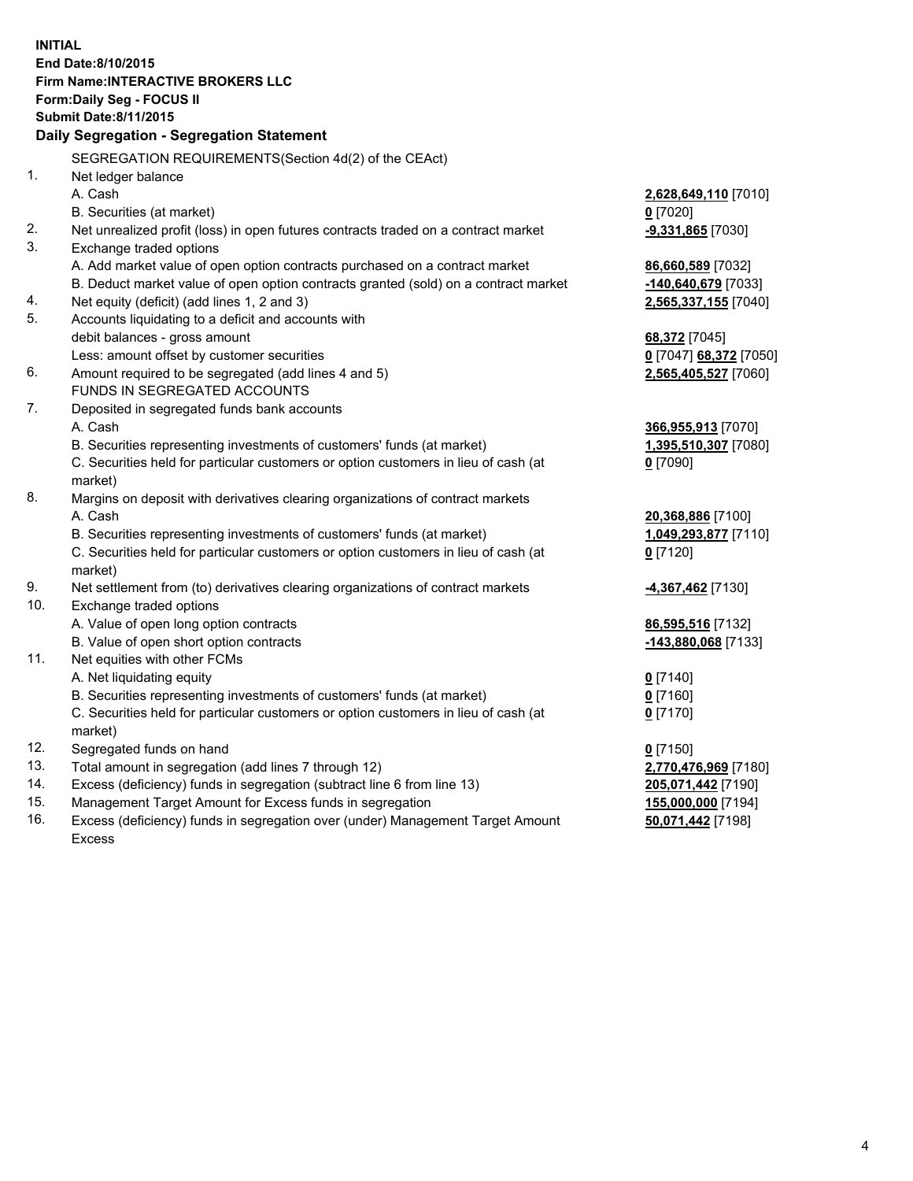**INITIAL End Date:8/10/2015 Firm Name:INTERACTIVE BROKERS LLC Form:Daily Seg - FOCUS II Submit Date:8/11/2015 Daily Segregation - Segregation Statement** SEGREGATION REQUIREMENTS(Section 4d(2) of the CEAct) 1. Net ledger balance A. Cash **2,628,649,110** [7010] B. Securities (at market) **0** [7020] 2. Net unrealized profit (loss) in open futures contracts traded on a contract market **-9,331,865** [7030] 3. Exchange traded options A. Add market value of open option contracts purchased on a contract market **86,660,589** [7032] B. Deduct market value of open option contracts granted (sold) on a contract market **-140,640,679** [7033] 4. Net equity (deficit) (add lines 1, 2 and 3) **2,565,337,155** [7040] 5. Accounts liquidating to a deficit and accounts with debit balances - gross amount **68,372** [7045] Less: amount offset by customer securities **0** [7047] **68,372** [7050] 6. Amount required to be segregated (add lines 4 and 5) **2,565,405,527** [7060] FUNDS IN SEGREGATED ACCOUNTS 7. Deposited in segregated funds bank accounts A. Cash **366,955,913** [7070] B. Securities representing investments of customers' funds (at market) **1,395,510,307** [7080] C. Securities held for particular customers or option customers in lieu of cash (at market) **0** [7090] 8. Margins on deposit with derivatives clearing organizations of contract markets A. Cash **20,368,886** [7100] B. Securities representing investments of customers' funds (at market) **1,049,293,877** [7110] C. Securities held for particular customers or option customers in lieu of cash (at market) **0** [7120] 9. Net settlement from (to) derivatives clearing organizations of contract markets **-4,367,462** [7130] 10. Exchange traded options A. Value of open long option contracts **86,595,516** [7132] B. Value of open short option contracts **-143,880,068** [7133] 11. Net equities with other FCMs A. Net liquidating equity **0** [7140] B. Securities representing investments of customers' funds (at market) **0** [7160] C. Securities held for particular customers or option customers in lieu of cash (at market) **0** [7170] 12. Segregated funds on hand **0** [7150] 13. Total amount in segregation (add lines 7 through 12) **2,770,476,969** [7180] 14. Excess (deficiency) funds in segregation (subtract line 6 from line 13) **205,071,442** [7190] 15. Management Target Amount for Excess funds in segregation **155,000,000** [7194] **50,071,442** [7198]

16. Excess (deficiency) funds in segregation over (under) Management Target Amount Excess